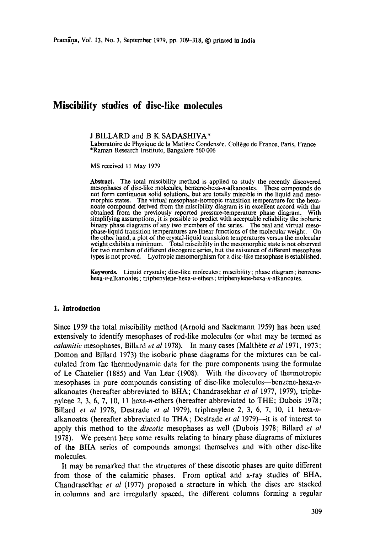# **Miscibility studies of disc-like molecules**

#### J BILLARD and B K SADASHIVA\*

Laboratoire de Physique de la Matière Condensée, Collège de France, Paris, France \*Raman Research Institute, Bangalore 560 006

MS received 11 May 1979

**Abstract.** The total miscibility method is applied to study the recently discovered mesophases of disc-like molecules, benzene-hexa-n-alkanoates. These compounds do not form continuous solid solutions, but are totally miscible in the liquid and mesomorphic states. The virtual mesophase-isotropic transition temperature for the hexa: noate compound derived from the miscibility diagram is in excellent accord with that obtained from the previously reported pressure-temperature phase diagram. With simplifying assumptions, it is possible to predict with acceptable reliability the isobaric binary phase diagrams of any two members of the series. The real and virtual mesophase-liquid transition temperatures are linear functions of the molecular weight. On the other hand, a plot of the crystal-liquid transition temperatures versus the molecular weight exhibits a minimum. Total miscibility in the mesomorphic state is not observed for two members of different diseogenic series, but the existence of different mesophase types is not proved. Lyotropic mesomorphism for a disc-like mesophase is established.

Keywords. Liquid crystals; disc-like molecules; miscibility; phase diagram; benzenehexa-n-alkanoates; triphenylene-hexa-n-ethers; triphenylene-hexa-n-alkanoates.

#### **1. Introduction**

Since 1959 the total miscibility method (Arnold and Sackmann 1959) has been used extensively to identify mesophases of rod-like molecules (or what may be termed as *calamitic* mesophases, Billard *et al* 1978). In many cases (Malthète *et al* 1971, 1973; Domon and Billard 1973) the isobaric phase diagrams for the mixtures can be calculated from the thermodynamic data for the pure components using the formulae of Le Chatelier (1885) and Van L6ar (1908). With the discovery of thermotropic mesophases in pure compounds consisting of disc-like molecules--benzene-hexa-nalkanoates (hereafter abbreviated to BHA; Chandrasekhar *et al* 1977, 1979), triphenylene 2, 3, 6, 7, 10, 11 hexa-n-ethers (hereafter abbreviated to THE; Dubois 1978; Billard *et al* 1978, Destrade *et al* 1979), triphenylene 2, 3, 6, 7, 10, 11 hexa-nalkanoates (hereafter abbreviated to THA; Destrade *et al* 1979)--it is of interest to apply this method to the *discotic* mesophases as well (Dubois 1978; Billard *et al*  1978). We present here some results relating to binary phase diagrams of mixtures of the BHA series of compounds amongst themselves and with other disc-like molecules.

It may be remarked that the structures of these discotic phases are quite different from those of the calamitic phases. From optical and x-ray studies of BHA, Chandrasekhar *et al* (1977) proposed a structure in which the discs are stacked in columns and are irregularly spaced, the different columns forming a regular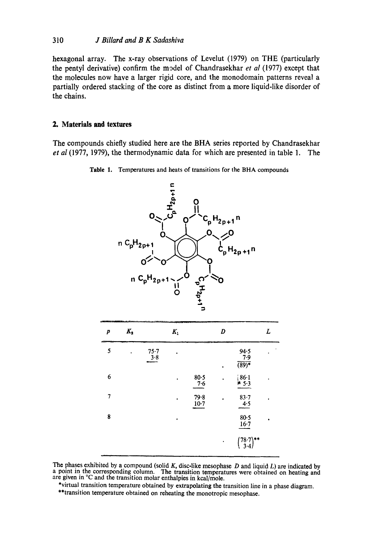hexagonal array. The x-ray observations of Levelut (1979) on THE (particularly the pentyl derivative) confirm the m~del of Chandrasekhar et *a1* (1977) except that the molecules now have a larger rigid core, and the monodomain patterns reveal a partially ordered stacking of the core as distinct from a more liquid-like disorder of the chains.

# **2. Materials and textures**

The compounds chiefly studied here are the BHA series reported by Chandrasekhar et **a1** (1977, 1979), the thermodynamic data for which are presented in table 1. The



Table 1. Temperatures and heats of transitions for the BHA compounds

The phases exhibited by a compound (solid K, disc-like mesophase D and liquid *L)* are indicated by a point in the corresponding column. The transition temperatures were obtained on heating and are given in <sup>o</sup>C and the transition molar enthalpies in kcal/mole.

<sup>\*</sup>virtual transition temperature obtained by extrapolating the transition line in a phase diagram. \*\*transition temperature obtained on reheating the monotropic mesophase.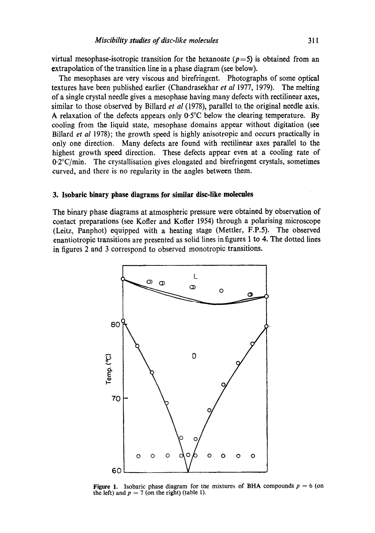virtual mesophase-isotropic transition for the hexanoate ( $p=5$ ) is obtained from an extrapolation of the transitien line in a phase diagram (see below).

The mesophases are very viscous and birefringent. Photographs of some optical textures have been published earlier (Chandrasekhar *et al* 1977, 1979). The melting of a single crystal needle gives a mesophase having many defects with rectilinear axes, similar to those observed by Billard *et al* (1978), parallel to. the original needle axis. A relaxation of the defects appears only 0.5°C below the clearing temperature. By cooling from the liquid state, mesophase domains appear without digitation (see Billard *et al* 1978); the growth speed is highly anisotropic and occurs practically in only one direction. Many defects are found with rectilinear axes parallel to the highest growth speed direction. These defects appear even at a cooling rate of 0.2°C/min. The crystallisation gives elongated and birefringent crystals, sometimes curved, and there is no regularity in the angles between them.

#### **3. Isobaric binary phase diagrams for similar disc-like molecules**

The binary phase diagrams at atmospheric pressure were obtained by observation of contact preparations (see Kofler and Kofler 1954) through a polarising microscope (Leitz, Panphot) equipped with a heating stage (Mettler, F.P.5). The observed enantiotropic transitions are presented as solid lines infigures 1 to 4. The dotted lines in figures 2 and 3 correspond to observed monotropic transitions.



**Figure 1.** Isobaric phase diagram for the mixtures of BHA compounds  $p = 6$  (on the left) and  $p = 7$  (on the right) (table 1).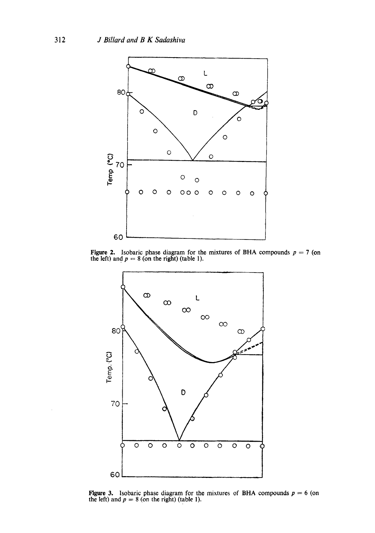

Figure 2. Isobaric phase diagram for the mixtures of BHA compounds  $p = 7$  (on the left) and  $p = 8$  (on the right) (table 1).



Figure 3. Isobaric phase diagram for the mixtures of BHA compounds  $p = 6$  (on the left) and  $p = 8$  (on the right) (table 1).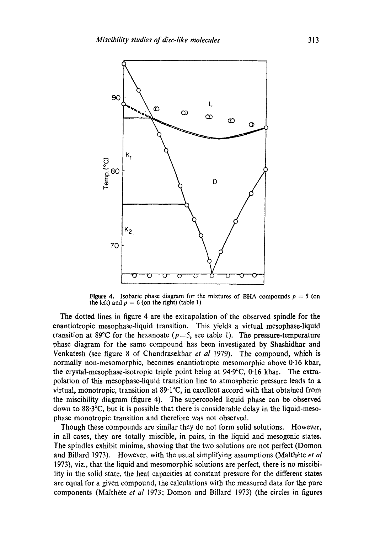

Figure 4. Isobaric phase diagram for the mixtures of BHA compounds  $p = 5$  (on the left) and  $p = 6$  (on the right) (table 1)

The dotted lines in figure 4 are the extrapolation of the observed spindle for the enantiotropic mesophase-liquid transition. This yields a virtual mesophase-liquid transition at 89°C for the hexanoate  $(p=5, \text{ see table 1})$ . The pressure-temperature phase diagram for the same compound has been investigated by Shashidhar and Venkatesh (see figure 8 of Chandrasekhar *et al* 1979). The compound, which is normally non-mesomorphic, becomes enantiotropic mesomorphic above 0"16 kbar, the crystal-mesophase-isotropic triple point being at 94.9°C, 0'16 kbar. The extrapolation of this mesophase-liquid transition line to atmospheric pressure leads to a virtual, monotropic, transition at 89.1°C, in excellent accord with that obtained from the miscibility diagram (figure 4). The supercooled liquid phase can be observed down to 88.3°C, but it is possible that there is considerable delay in the liquid-mesophase monotropic transition and therefore was not observed.

Though these compounds are similar they do not form solid solutions. However, in all cases, they are totally miscible, in pairs, in the liquid and mesogenic states. The spindles exhibit minima, showing that the two solutions are not perfect (Domon and Billard 1973). However, with the usual simplifying assumptions (Malthète *et al* 1973), viz., that the liquid and mesomorphic solutions are perfect, there is no miscibility in the solid state, the heat capacities at constant pressure for the different states are equal for a given compound, the calculations with the measured data for the pure components (Malthète *et al* 1973; Domon and Billard 1973) (the circles in figures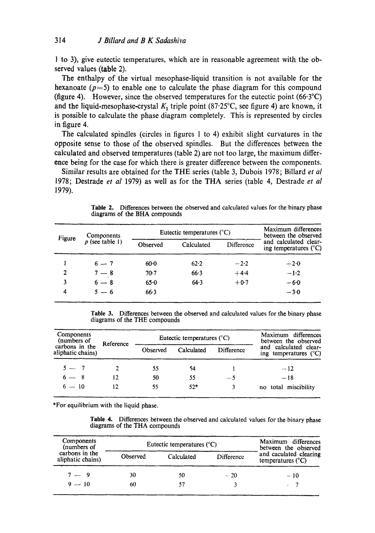1 to 3), give eutectic temperatures, which are in reasonable agreement with the observed values (table 2).

The enthalpy of the virtual mesophase-liquid transition is not available for the hexanoate ( $p=5$ ) to enable one to calculate the phase diagram for this compound (figure 4). However, since the observed temperatures for the eutectic point  $(66.3^{\circ}C)$ and the liquid-mesophase-crystal  $K_1$  triple point (87.25°C, see figure 4) are known, it is possible to calculate the phase diagram completely. This is represented by circles in figure 4.

The calculated spindles (circles in figures 1 to 4) exhibit slight curvatures in the opposite sense to those of the observed spindles. But the differences between the calculated and observed temperatures (table 2) are not too large, the maximum difference being for the case for which there is greater difference between the components.

Similar results are obtained for the THE series (table 3, Dubois 1978; Billard *et al*  1978; Destrade *et al* 1979) as well as for the THA series (table 4, Destrade *et al*  1979).

**Table** 2. Differences between the observed and calculated values for the binary phase diagrams of the BHA compounds

| Figure         | Components<br>$p$ (see table 1) | Eutectic temperatures $(^{\circ}C)$ |            |            | Maximum differences<br>between the observed             |
|----------------|---------------------------------|-------------------------------------|------------|------------|---------------------------------------------------------|
|                |                                 | Observed                            | Calculated | Difference | and calculated clear-<br>ing temperatures $(^{\circ}C)$ |
|                | $6 - 7$                         | $60-0$                              | 62.2       | $-2.2$     | $-2.0$                                                  |
| $\overline{2}$ | $7 - 8$                         | $70-7$                              | 66.3       | $+4.4$     | $-1.2$                                                  |
| 3              | $6 - 8$                         | $65 - 0$                            | 64.3       | $+0.7$     | $-6.0$                                                  |
| 4              | $5 - 6$                         | 66.3                                |            |            | $-3.0$                                                  |

Table 3. Differences between the observed and calculated values for the binary phase diagrams of the THE compounds

| Components<br>(numbers of           | Reference | Eutectic temperatures $(^{\circ}C)$ |            |            | Maximum differences<br>between the observed             |
|-------------------------------------|-----------|-------------------------------------|------------|------------|---------------------------------------------------------|
| carbons in the<br>aliphatic chains) |           | Observed                            | Calculated | Difference | and calculated clear-<br>ing temperatures $(^{\circ}C)$ |
| $5 - 7$                             |           | 55                                  | 54         |            | $-12$                                                   |
| $6 - 8$                             | 12        | 50                                  | $55 -$     | $-5$       | $-18$                                                   |
| $6 - 10$                            | 12        | 55                                  | $52*$      |            | no total miscibility                                    |

\*For equilibrium with the liquid phase.

**Table** 4. Differences between the observed and calculated values for the binary phase diagrams of the THA compounds

| Components<br>(numbers of           | Eutectic temperatures $(^{\circ}C)$ | Maximum differences<br>between the observed |            |                                                      |
|-------------------------------------|-------------------------------------|---------------------------------------------|------------|------------------------------------------------------|
| carbons in the<br>aliphatic chains) | Observed                            | Calculated                                  | Difference | and caculated clearing<br>temperatures $(^{\circ}C)$ |
| $7 - 9$                             | 30                                  | 50                                          | $-20$      | $-10$                                                |
| $9 - 10$                            | 60                                  |                                             |            |                                                      |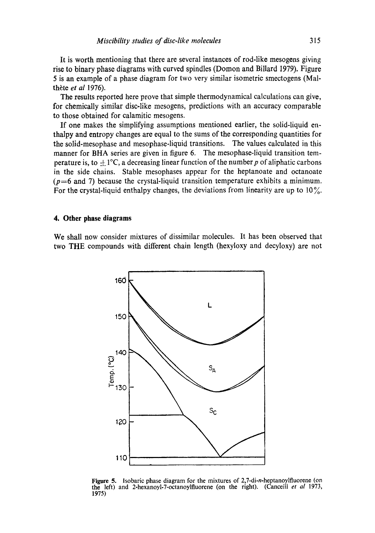It is worth mentioning that there are several instances of rod-like mesogens giving rise to binary phase diagrams with curved spindles (Domon and Billard 1979). Figure 5 is an example of a phase diagram for two very similar isometric smectogens (Malthète et al 1976).

The results reported here prove that simple thermodynamical calculations can give, for chemically similar disc-like mesogens, predictions with an accuracy comparable to those obtained for calamitic mesogens.

If one makes the simplifying assumptions mentioned earlier, the solid-liquid enthalpy and entropy changes are equal to the sums of the corresponding quantities for the solid-mesophase and mesophase-liquid transitions. The values calculated in this manner for BHA series are given in figure 6. The mesophase-liquid transition temperature is, to  $\pm 1$ °C, a decreasing linear function of the number p of aliphatic carbons in the side chains. Stable mesophases appear for the heptanoate and octanoate  $(p=6$  and 7) because the crystal-liquid transition temperature exhibits a minimum. For the crystal-liquid enthalpy changes, the deviations from linearity are up to  $10\%$ .

# **4. Other phase diagrams**

We shall now consider mixtures of dissimilar molecules. It has been observed that two THE compounds with different chain length (hexyloxy and decyloxy) are not



Figure 5. Isobaric phase diagram for the mixtures of 2,7-di-n-heptanoylfluorene (on the left) and 2-hexanoyl-7-octanoylfluorene (on the right). (Canceill *et al* 1973, 1975)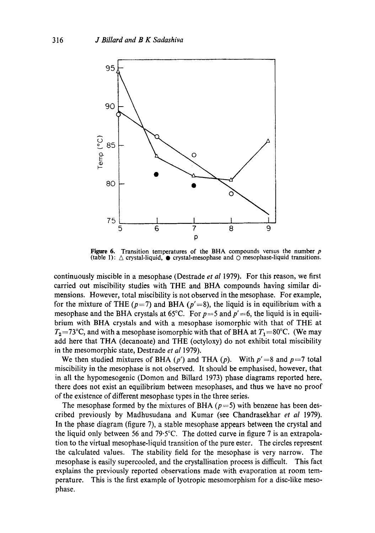

Figure 6. Transition temperatures of the BHA compounds versus the number **<sup>p</sup>** (table 1):  $\triangle$  crystal-liquid,  $\bullet$  crystal-mesophase and  $\odot$  mesophase-liquid transitions.

continuously miscible in a mesophase (Destrade *et al* 1979). For this reason, we first carried out miscibility studies with THE and BHA compounds having similar dimensions. However, total miscibility is not observed in the mesophase. For example, for the mixture of THE ( $p=7$ ) and BHA ( $p'=8$ ), the liquid is in equilibrium with a mesophase and the BHA crystals at  $65^{\circ}$ C. For  $p=5$  and  $p'=6$ , the liquid is in equilibrium with BHA crystals and with a mesophase isomorphic with that of THE at  $T_2$ =73°C, and with a mesophase isomorphic with that of BHA at  $T_1=80$ °C. (We may add here that THA (decanoate) and THE (octyloxy) do not exhibit total miscibility in the mesomorphic state, Destrade *et al* 1979).

We then studied mixtures of BHA  $(p')$  and THA  $(p)$ . With  $p' = 8$  and  $p = 7$  total miscibility in the mesophase is not observed. It should be emphasised, however, that in all the hypomesogenic (Domon and BiUard 1973) phase diagrams reported here, there does not exist an equilibrium between mesophases, and thus we have no proof of the existence of different mesophase types in the three series.

The mesophase formed by the mixtures of BHA ( $p=5$ ) with benzene has been described previously by Madhusudana and Kumar (see Chandrasekhar *et al* 1979). In the phase diagram (figure 7), a stable mesophase appears between the crystal and the liquid only between 56 and 79.5°C. The dotted curve in figure 7 is an extrapolation to the virtual mesophase-liquid transition of the pure ester. The circles represent the calculated values. The stability field for the mesophase is very narrow. The mesophase is easily supercooled, and the crystallisation process is difficult. This fact explains the previously reported observations made with evaporation at room temperature. This is the first example of lyotropic mesomorphism for a disc-like mesophase.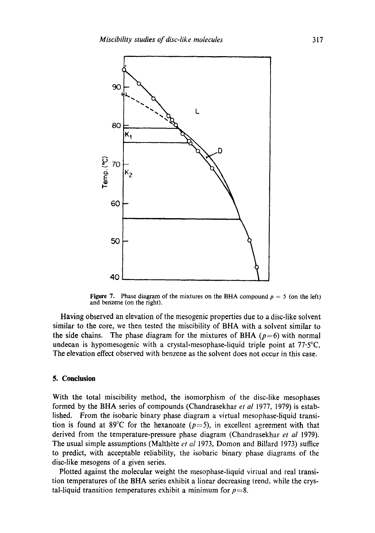

Figure 7. Phase diagram of the mixtures on the BHA compound  $p = 5$  (on the left) and benzene (on the right).

Having observed an elevation of the mesogenic properties due to a disc-like solvent similar to the core, we then tested the miscibility of BHA with a solvent similar to the side chains. The phase diagram for the mixtures of BHA ( $p=6$ ) with normal undecan is hypomesogenic with a crystal-mesophase-liquid triple point at 77.5°C. The elevation effect observed with benzene as the solvent does not occur in this case.

### **5. Conclusion**

With the total miscibility method, the isomorphism of the disc-like mesophases formed by the BHA series of compounds (Chandrasekhar *et al* 1977, 1979) is established. From the isobaric binary phase diagram a virtual mesophase-liquid transition is found at 89<sup>°</sup>C for the hexanoate ( $p=5$ ), in excellent agreement with that derived from the temperature-pressure phase diagram (Chandrasekhar *et al* 1979). The usual simple assumptions (Malthète *et al* 1973, Domon and Billard 1973) suffice to predict, with acceptable reliability, the isobaric binary phase diagrams of the disc-like mesogens of a given series.

Plotted against the molecular weight the mesophase-liquid virtual and real transition temperatures of the BHA series exhibit a linear decreasing trend, while the crystal-liquid transition temperatures exhibit a minimum for  $p=8$ .